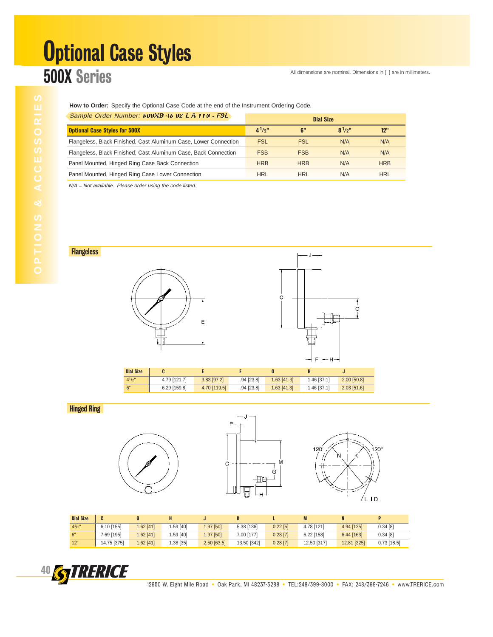### **Optional Case Styles** 500X Series

All dimensions are nominal. Dimensions in [ ] are in millimeters.

**How to Order:** Specify the Optional Case Code at the end of the Instrument Ordering Code.

| Sample Order Number: 500XB 45 02 L A 110 FSL                     | <b>Dial Size</b> |            |           |            |  |
|------------------------------------------------------------------|------------------|------------|-----------|------------|--|
| <b>Optional Case Styles for 500X</b>                             | $4^{1/9}$        | 6"         | $R^{1/2}$ | 12"        |  |
| Flangeless, Black Finished, Cast Aluminum Case, Lower Connection | <b>FSL</b>       | <b>FSL</b> | N/A       | N/A        |  |
| Flangeless, Black Finished, Cast Aluminum Case, Back Connection  | <b>FSB</b>       | <b>FSB</b> | N/A       | N/A        |  |
| Panel Mounted, Hinged Ring Case Back Connection                  | <b>HRB</b>       | <b>HRB</b> | N/A       | <b>HRB</b> |  |
| Panel Mounted, Hinged Ring Case Lower Connection                 | <b>HRL</b>       | <b>HRL</b> | N/A       | <b>HRL</b> |  |
|                                                                  |                  |            |           |            |  |

N/A = Not available. Please order using the code listed.

Flangeless





**Hinged Ring** 







| <b>Dial Size</b> |             |            |           |             |             |            |             |             |               |
|------------------|-------------|------------|-----------|-------------|-------------|------------|-------------|-------------|---------------|
| $4^{1}/2$ "      | 6.10 [155]  | $.62$ [41] | .59 [40]  | 1.97 [50]   | 5.38 [136]  | $0.22$ [5] | 4.78 [121]  | 4.94 [125]  | 0.34[8]       |
| 6"               | 7.69 [195]  | $.62$ [41] | .59 [40]  | 1.97 [50]   | 7.00 [177]  | $0.28$ [7] | 6.22 [158]  | 6.44 [163]  | 0.34 [8]      |
| 12"              | 14.75 [375] | $.62$ [41] | 1.38 [35] | 2.50 [63.5] | 13.50 [342] | $0.28$ [7] | 12.50 [317] | 12.81 [325] | $0.73$ [18.5] |



12950 W. Eight Mile Road • Oak Park, MI 48237-3288 • TEL:248/399-8000 • FAX: 248/399-7246 • www.TRERICE.com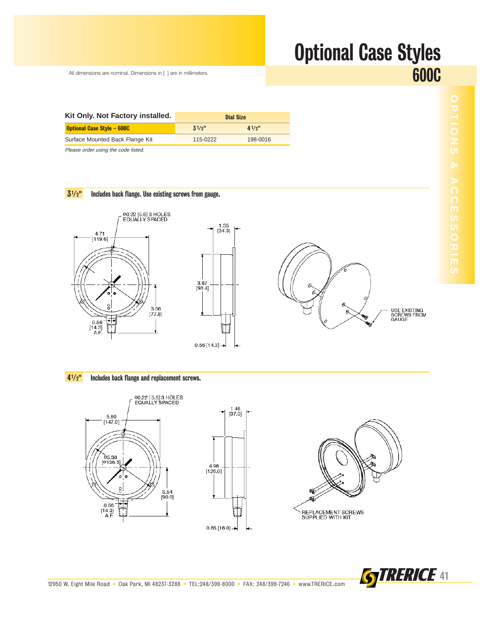### Optional Case Styles All dimensions are nominal. Dimensions in [ ] are in millimeters.

| Kit Only. Not Factory installed.    | Dial Size |          |  |  |  |
|-------------------------------------|-----------|----------|--|--|--|
| <b>Optional Case Style - 600C</b>   | 31/y''    | 41/y''   |  |  |  |
| Surface Mounted Back Flange Kit     | 115-0222  | 198-0016 |  |  |  |
| Please order using the code listed. |           |          |  |  |  |

 $3^{1/2}$ Includes back flange. Use existing screws from gauge.









 $4^{1}/2$ " Includes back flange and replacement screws.



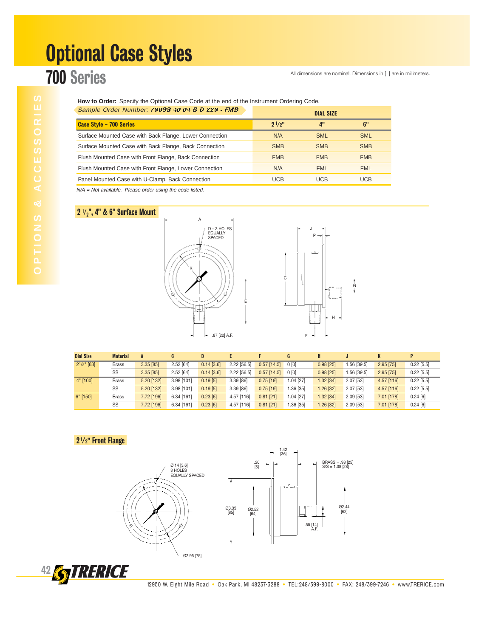### Optional Case Styles 700 Series

#### All dimensions are nominal. Dimensions in [ ] are in millimeters.

**How to Order:** Specify the Optional Case Code at the end of the Instrument Ordering Code.

| Sample Order Number: 700SS 40 04 B D 220 - FMB          | <b>DIAL SIZE</b> |            |            |  |  |
|---------------------------------------------------------|------------------|------------|------------|--|--|
| <b>Case Style - 700 Series</b>                          | 21/p''           | 4"         | 6"         |  |  |
| Surface Mounted Case with Back Flange, Lower Connection | N/A              | <b>SML</b> | <b>SML</b> |  |  |
| Surface Mounted Case with Back Flange, Back Connection  | <b>SMB</b>       | <b>SMB</b> | <b>SMB</b> |  |  |
| Flush Mounted Case with Front Flange, Back Connection   | <b>FMB</b>       | <b>FMB</b> | <b>FMB</b> |  |  |
| Flush Mounted Case with Front Flange, Lower Connection  | N/A              | <b>FML</b> | <b>FML</b> |  |  |
| Panel Mounted Case with U-Clamp, Back Connection        | <b>UCB</b>       | <b>UCB</b> | <b>UCB</b> |  |  |

N/A = Not available. Please order using the code listed.

#### $2\frac{1}{2}$ , 4" & 6" Surface Mount





| <b>Dial Size</b> | <b>Material</b> | A           | C.           | D            |             |               | 6          | H           |            |             | D            |
|------------------|-----------------|-------------|--------------|--------------|-------------|---------------|------------|-------------|------------|-------------|--------------|
| $2^{1/2}$ [63]   | <b>Brass</b>    | $3.35$ [85] | 2.52 [64]    | $0.14$ [3.6] | 2.22 [56.5] | $0.57$ [14.5] | 0[0]       | $0.98$ [25] | .56 [39.5] | $2.95$ [75] | $0.22$ [5.5] |
|                  | SS              | $3.35$ [85] | $2.52$ [64]  | $0.14$ [3.6] | 2.22 [56.5] | $0.57$ [14.5] | 0[0]       | $0.98$ [25] | .56 [39.5] | $2.95$ [75] | $0.22$ [5.5] |
| 4" [100]         | <b>Brass</b>    | 5.20 [132]  | 3.98 [101]   | $0.19$ [5]   | 3.39 [86]   | $0.75$ [19]   | $.04$ [27] | $1.32$ [34] | 2.07 [53]  | 4.57 [116]  | $0.22$ [5.5] |
|                  | SS              | 5.20 [132]  | 3.98 [101]   | $0.19$ [5]   | 3.39 [86]   | $0.75$ [19]   | .36 [35]   | 1.26 [32]   | 2.07 [53]  | 4.57 [116]  | $0.22$ [5.5] |
| $6"$ [150]       | <b>Brass</b>    | 7.72 [196]  | $6.34$ [161] | $0.23$ [6]   | 4.57 [116]  | $0.81$ [21]   | $.04$ [27] | 1.32 [34]   | 2.09 [53]  | 7.01 [178]  | $0.24$ [6]   |
|                  | SS              | 7.72 [196]  | $6.34$ [161] | 0.23 [6]     | 4.57 [116]  | $0.81$ [21]   | $.36$ [35] | 1.26 [32]   | 2.09 [53]  | 7.01 [178]  | $0.24$ [6]   |

E

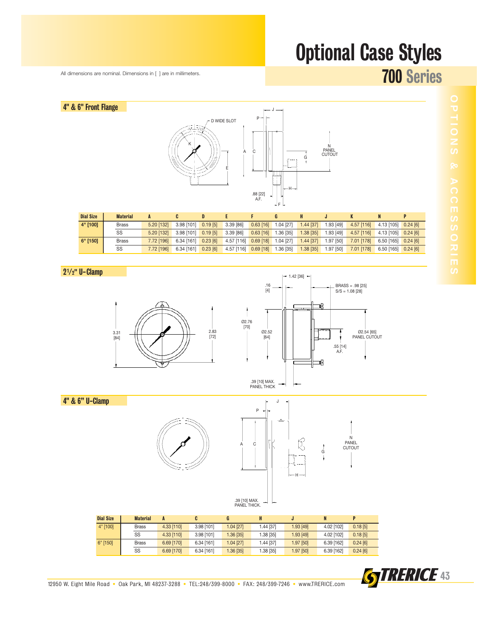# Optional Case Styles

All dimensions are nominal. Dimensions in [ ] are in millimeters.

| 4" & 6" Front Flange |                 |            | $\epsilon = \pm \infty$<br>Κ |          | D WIDE SLOT<br>Α<br>F | $P$ +<br>C<br>.88 [22]<br>A.F. | $\leftarrow$ H $\rightarrow$<br>-∣F ⊨ |           | N<br>PANEL<br>CUTOUT |            |             |          |
|----------------------|-----------------|------------|------------------------------|----------|-----------------------|--------------------------------|---------------------------------------|-----------|----------------------|------------|-------------|----------|
| <b>Dial Size</b>     | <b>Material</b> | A          | C                            | D        | E                     | F                              | G                                     | H         | J                    | K          | $\mathbf N$ | P        |
| 4" [100]             | <b>Brass</b>    | 5.20 [132] | 3.98 [101]                   | 0.19[5]  | 3.39 [86]             | $0.63$ [16]                    | 1.04 [27]                             | 1.44 [37] | 1.93 [49]            | 4.57 [116] | 4.13 [105]  | 0.24 [6] |
|                      | SS              | 5.20 [132] | 3.98 [101]                   | 0.19[5]  | 3.39 [86]             | $0.63$ [16]                    | 1.36 [35]                             | 1.38 [35] | 1.93 [49]            | 4.57 [116] | 4.13 [105]  | 0.24[6]  |
| 6" [150]             | <b>Brass</b>    | 7.72 [196] | 6.34 [161]                   | 0.23 [6] | 4.57 [116]            | $0.69$ [18]                    | 1.04 [27]                             | 1.44 [37] | 1.97 [50]            | 7.01 [178] | 6.50 [165]  | 0.24 [6] |
|                      | SS              |            |                              |          |                       |                                |                                       |           |                      |            |             |          |

21 /2" U-Clamp





4" & 6" U-Clamp





| <b>Dial Size</b> | <b>Material</b> |              |            |           |           |           |            |            |
|------------------|-----------------|--------------|------------|-----------|-----------|-----------|------------|------------|
| 4" [100]         | <b>Brass</b>    | $4.33$ [110] | 3.98 [101] | 1.04 [27] | 1.44 [37] | 1.93 [49] | 4.02 [102] | $0.18$ [5] |
|                  | SS              | $4.33$ [110] | 3.98 [101] | 1.36 [35] | 1.38 [35] | 1.93 [49] | 4.02 [102] | $0.18$ [5] |
| $6"$ [150]       | <b>Brass</b>    | 6.69 [170]   | 6.34 [161] | 1.04 [27] | 1.44 [37] | 1.97 [50] | 6.39 [162] | $0.24$ [6] |
|                  | SS              | 6.69 [170]   | 6.34 [161] | 1.36 [35] | 1.38 [35] | 1.97 [50] | 6.39 [162] | $0.24$ [6] |



12950 W. Eight Mile Road • Oak Park, MI 48237-3288 • TEL:248/399-8000 • FAX: 248/399-7246 • www.TRERICE.com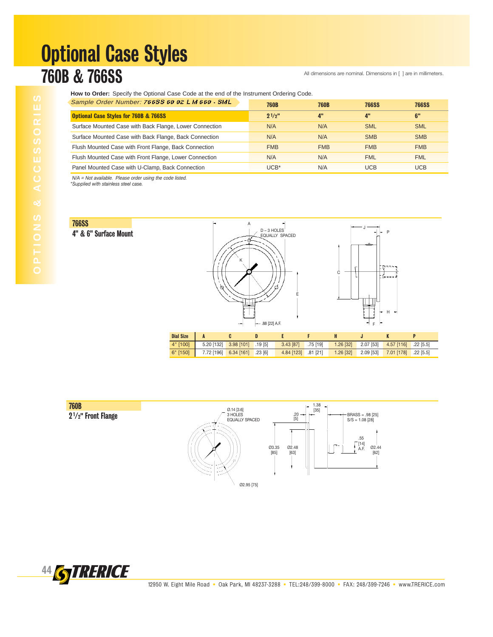#### Optional Case Styles T60B & 766SS All dimensions are nominal. Dimensions in [ ] are in millimeters.

**How to Order:** Specify the Optional Case Code at the end of the Instrument Ordering Code.

| Sample Order Number: 766SS 60 02 L M 660 - SML          | <b>760B</b> | 760B       | <b>766SS</b> | <b>766SS</b> |
|---------------------------------------------------------|-------------|------------|--------------|--------------|
| <b>Optional Case Styles for 760B &amp; 766SS</b>        | $2^{1/9}$   | 4"         | 4"           | 6"           |
| Surface Mounted Case with Back Flange, Lower Connection | N/A         | N/A        | <b>SML</b>   | <b>SML</b>   |
| Surface Mounted Case with Back Flange, Back Connection  | N/A         | N/A        | <b>SMB</b>   | <b>SMB</b>   |
| Flush Mounted Case with Front Flange, Back Connection   | <b>FMB</b>  | <b>FMB</b> | <b>FMB</b>   | <b>FMB</b>   |
| Flush Mounted Case with Front Flange, Lower Connection  | N/A         | N/A        | <b>FML</b>   | <b>FML</b>   |
| Panel Mounted Case with U-Clamp, Back Connection        | $UCB*$      | N/A        | <b>UCB</b>   | <b>UCB</b>   |

N/A = Not available. Please order using the code listed. *\*Supplied with stainless steel case.*





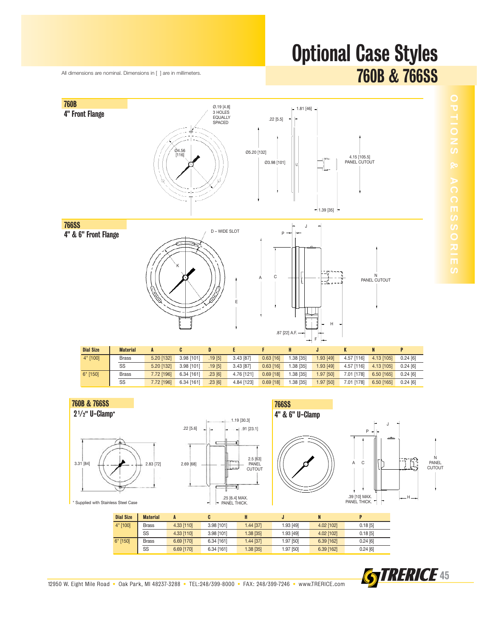### Optional Case Styles 760B & 766SS

All dimensions are nominal. Dimensions in [ ] are in millimeters.











| <b>Dial Size</b> | <b>Material</b> |              |            |           |           |              |            |
|------------------|-----------------|--------------|------------|-----------|-----------|--------------|------------|
| 4" [100]         | <b>Brass</b>    | $4.33$ [110] | 3.98 [101] | 1.44 [37] | 1.93 [49] | 4.02 [102]   | 0.18[5]    |
|                  | SS              | 4.33 [110]   | 3.98 [101] | 1.38 [35] | 1.93 [49] | $4.02$ [102] | 0.18[5]    |
| $6"$ [150]       | <b>Brass</b>    | 6.69 [170]   | 6.34 [161] | 1.44 [37] | 1.97 [50] | 6.39 [162]   | $0.24$ [6] |
|                  | SS              | 6.69 [170]   | 6.34 [161] | 1.38 [35] | 1.97 [50] | 6.39 [162]   | $0.24$ [6] |

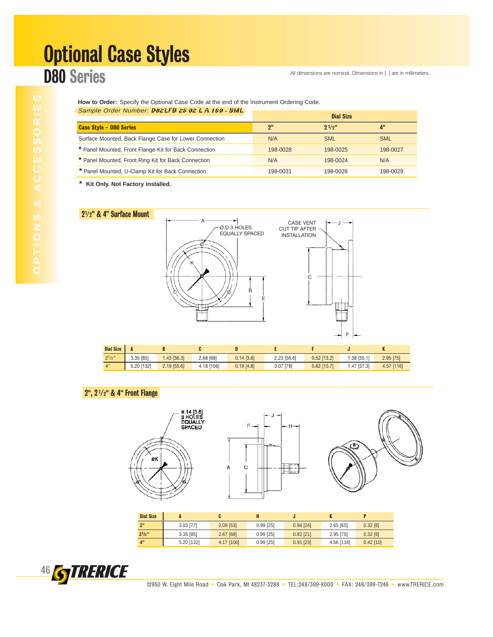#### Optional Case Styles D80 Series

All dimensions are nominal. Dimensions in [ ] are in millimeters.

**How to Order:** Specify the Optional Case Code at the end of the Instrument Ordering Code. Sample Order Number: D82LFB 25 02 L A 160 - SML

| Sample Order Number. Doctrib co oc L A Tou SMIL        | <b>Dial Size</b> |            |            |  |  |
|--------------------------------------------------------|------------------|------------|------------|--|--|
| <b>Case Style - D80 Series</b>                         | 2"               | 21/p''     | 4"         |  |  |
| Surface Mounted, Back Flange Case for Lower Connection | N/A              | <b>SML</b> | <b>SML</b> |  |  |
| * Panel Mounted, Front Flange Kit for Back Connection  | 198-0028         | 198-0025   | 198-0027   |  |  |
| * Panel Mounted, Front Ring Kit for Back Connection    | N/A              | 198-0024   | N/A        |  |  |
| * Panel Mounted, U-Clamp Kit for Back Connection       | 198-0031         | 198-0026   | 198-0029   |  |  |

**\* Kit Only. Not Factory installed.**



| <b>Dial Size</b>          |            |              |            |                  |             |               |             |             |
|---------------------------|------------|--------------|------------|------------------|-------------|---------------|-------------|-------------|
| $2^{1}/2$ "               | 3.35 [85]  | $.43$ [36.3] | 2.68 [68]  | $0.14$ [ $3.6$ ] | 2.23 [56.6] | $0.52$ [13.2] | 1.38 [35.1] | $2.95$ [75] |
| $\mathbf{A}^{\mathbf{u}}$ | 5.20 [132] | 2.19 [55.6]  | 4.18 [106] | $0.19$ [4.8]     | 3.07 [78]   | $0.62$ [15.7] | 1.47 [37.3] | 4.57 [116]  |

#### 2", 2 <sup>1</sup> /2" & 4" Front Flange







| <b>Dial Size</b> |             |              |             |             |             |             |
|------------------|-------------|--------------|-------------|-------------|-------------|-------------|
| 2"               | $3.03$ [77] | $2.09$ [53]  | $0.99$ [25] | $0.94$ [24] | $2.65$ [65] | $0.32$ [8]  |
| $2^{1}/2$ "      | $3.35$ [85] | $2.67$ [68]  | $0.99$ [25] | $0.82$ [21] | $2.95$ [75] | $0.32$ [8]  |
| 4"               | 5.20 [132]  | $4.17$ [106] | $0.99$ [25] | $0.91$ [23] | 4.56 [116]  | $0.42$ [10] |

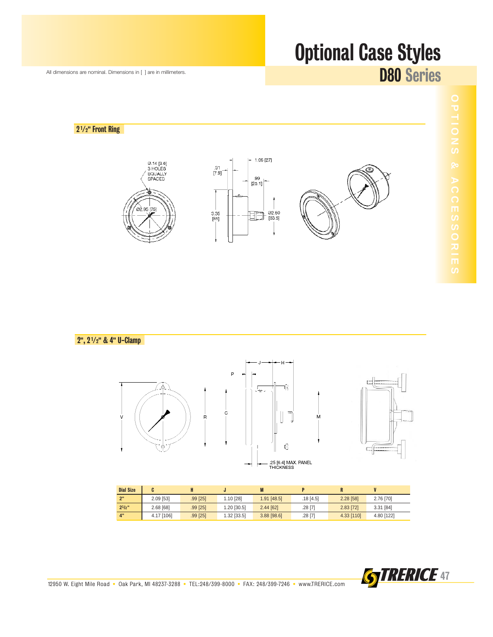# Optional Case Styles

D80 Series

All dimensions are nominal. Dimensions in [ ] are in millimeters.

2 1 /2" Front Ring







2", 2 <sup>1</sup> /2" & 4" U-Clamp



| <b>Dial Size</b> |            |            |             |               |             |            |            |
|------------------|------------|------------|-------------|---------------|-------------|------------|------------|
| 2"               | 2.09 [53]  | $.99$ [25] | 1.10 [28]   | 1.91 [48.5]   | $.18$ [4.5] | 2.28 [58]  | 2.76 [70]  |
| $2^{1}/2$        | 2.68 [68]  | $.99$ [25] | 1.20 [30.5] | 2.44 [62]     | .28[7]      | 2.83 [72]  | 3.31 [84]  |
| 4"               | 4.17 [106] | $.99$ [25] | 1.32 [33.5] | $3.88$ [98.6] | $.28$ [7]   | 4.33 [110] | 4.80 [122] |

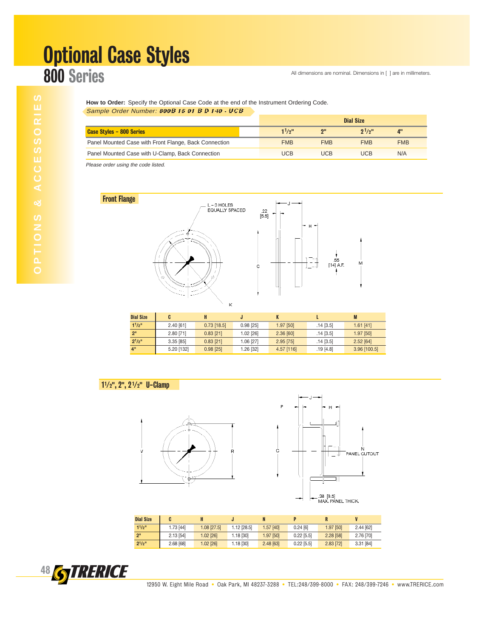#### Optional Case Styles 800 Series

**How to Order:** Specify the Optional Case Code at the end of the Instrument Ordering Code. Sample Order Number: 800B 15 01 B D 140 UCB

|                                                       |            | <b>Dial Size</b> |              |            |            |  |
|-------------------------------------------------------|------------|------------------|--------------|------------|------------|--|
| <b>Case Styles - 800 Series</b>                       |            | $1^{1/9}$        | $\mathbf{Q}$ | $9^{1/9}$  | 4"         |  |
| Panel Mounted Case with Front Flange, Back Connection |            | <b>FMB</b>       | <b>FMB</b>   | <b>FMB</b> | <b>FMB</b> |  |
| Panel Mounted Case with U-Clamp, Back Connection      | <b>UCB</b> | <b>UCB</b>       | UCB          | N/A        |            |  |
|                                                       |            |                  |              |            |            |  |

Please order using the code listed.





| <b>Dial Size</b> |            |               |             |             |             |                |
|------------------|------------|---------------|-------------|-------------|-------------|----------------|
| $1^{1}/2$ "      | 2.40 [61]  | $0.73$ [18.5] | $0.98$ [25] | 1.97 [50]   | $.14$ [3.5] | $1.61$ [41]    |
| 2 <sup>n</sup>   | 2.80 [71]  | $0.83$ [21]   | 1.02 [26]   | 2.36 [60]   | $.14$ [3.5] | 1.97 [50]      |
| $2^{1}/2$ "      | 3.35 [85]  | $0.83$ [21]   | 1.06 [27]   | $2.95$ [75] | $.14$ [3.5] | $2.52$ [64]    |
| 4 <sup>0</sup>   | 5.20 [132] | $0.98$ [25]   | 1.26 [32]   | 4.57 [116]  | $.19$ [4.8] | $3.96$ [100.5] |

#### 11 /2", 2", 2 <sup>1</sup> /2" U-Clamp





| <b>Dial Size</b> |           |             |             |             |              |             |           |
|------------------|-----------|-------------|-------------|-------------|--------------|-------------|-----------|
| $1^{1}/2$ "      | 1.73 [44] | 1.08 [27.5] | 1.12 [28.5] | 1.57 [40]   | $0.24$ [6]   | 1.97 [50]   | 2.44 [62] |
| 2 <sup>II</sup>  | 2.13 [54] | 1.02 [26]   | 1.18 [30]   | 1.97 [50]   | $0.22$ [5.5] | 2.28 [58]   | 2.76 [70] |
| $2^{1}/2$ "      | 2.68 [68] | 1.02 [26]   | 1.18 [30]   | $2.48$ [63] | $0.22$ [5.5] | $2.83$ [72] | 3.31 [84] |

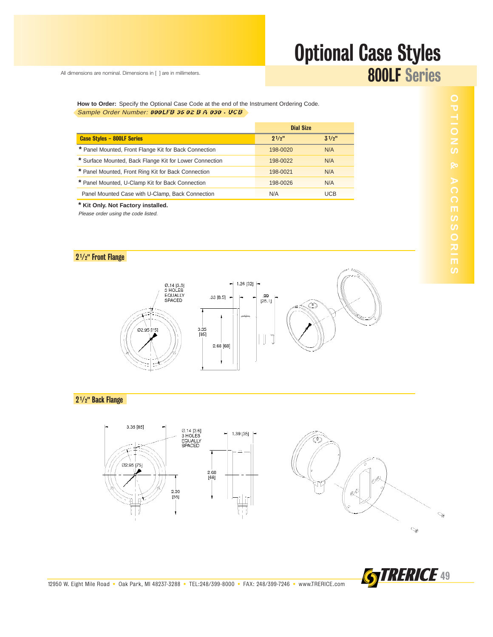#### Optional Case Styles 800LF Series

All dimensions are nominal. Dimensions in [ ] are in millimeters.

**How to Order:** Specify the Optional Case Code at the end of the Instrument Ordering Code. Sample Order Number: 800LFB 35 02 B A 030 - UCB

|                                                         | <b>Dial Size</b> |            |  |
|---------------------------------------------------------|------------------|------------|--|
| <b>Case Styles - 800LF Series</b>                       | 21/p''           | 31/y''     |  |
| * Panel Mounted, Front Flange Kit for Back Connection   | 198-0020         | N/A        |  |
| * Surface Mounted, Back Flange Kit for Lower Connection | 198-0022         | N/A        |  |
| * Panel Mounted, Front Ring Kit for Back Connection     | 198-0021         | N/A        |  |
| * Panel Mounted, U-Clamp Kit for Back Connection        | 198-0026         | N/A        |  |
| Panel Mounted Case with U-Clamp, Back Connection        | N/A              | <b>UCB</b> |  |

**\* Kit Only. Not Factory installed.**

Please order using the code listed.



2 1 /2" Back Flange





12950 W. Eight Mile Road • Oak Park, MI 48237-3288 • TEL:248/399-8000 • FAX: 248/399-7246 • www.TRERICE.com